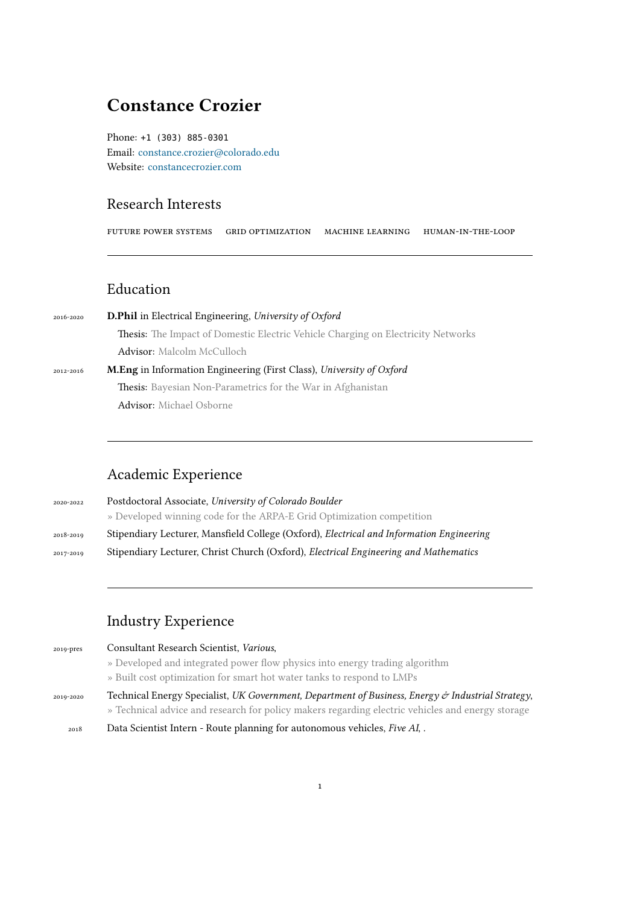# **Constance Crozier**

Phone: +1 (303) 885-0301 Email: constance.crozier@colorado.edu Website: constancecrozier.com

## Rese[arch Interests](mailto:constance.crozier@colorado.edu)

futuRep[oweR systems gRid](http://www.constancecrozier.com) optimization machine leaRning human-in-the-loop

### Education

| 2016-2020 | <b>D.Phil</b> in Electrical Engineering, University of Oxford                           |  |
|-----------|-----------------------------------------------------------------------------------------|--|
|           | <b>Thesis:</b> The Impact of Domestic Electric Vehicle Charging on Electricity Networks |  |
|           | <b>Advisor:</b> Malcolm McCulloch                                                       |  |
| 2012-2016 | <b>M.Eng</b> in Information Engineering (First Class), University of Oxford             |  |
|           | <b>Thesis:</b> Bayesian Non-Parametrics for the War in Afghanistan                      |  |
|           | <b>Advisor:</b> Michael Osborne                                                         |  |

## Academic Experience

2020-2022 Postdoctoral Associate, *University of Colorado Boulder* » Developed winning code for the ARPA-E Grid Optimization competition 2018-2019 Stipendiary Lecturer, Mansfield College (Oxford), *Electrical and Information Engineering* 2017-2019 Stipendiary Lecturer, Christ Church (Oxford), *Electrical Engineering and Mathematics*

## Industry Experience

| 2019-pres | Consultant Research Scientist, Various,                                                           |
|-----------|---------------------------------------------------------------------------------------------------|
|           | » Developed and integrated power flow physics into energy trading algorithm                       |
|           | » Built cost optimization for smart hot water tanks to respond to LMPs                            |
| 2019-2020 | Technical Energy Specialist, UK Government, Department of Business, Energy & Industrial Strategy, |
|           | » Technical advice and research for policy makers regarding electric vehicles and energy storage  |
| 2018      | Data Scientist Intern - Route planning for autonomous vehicles, Five AI, .                        |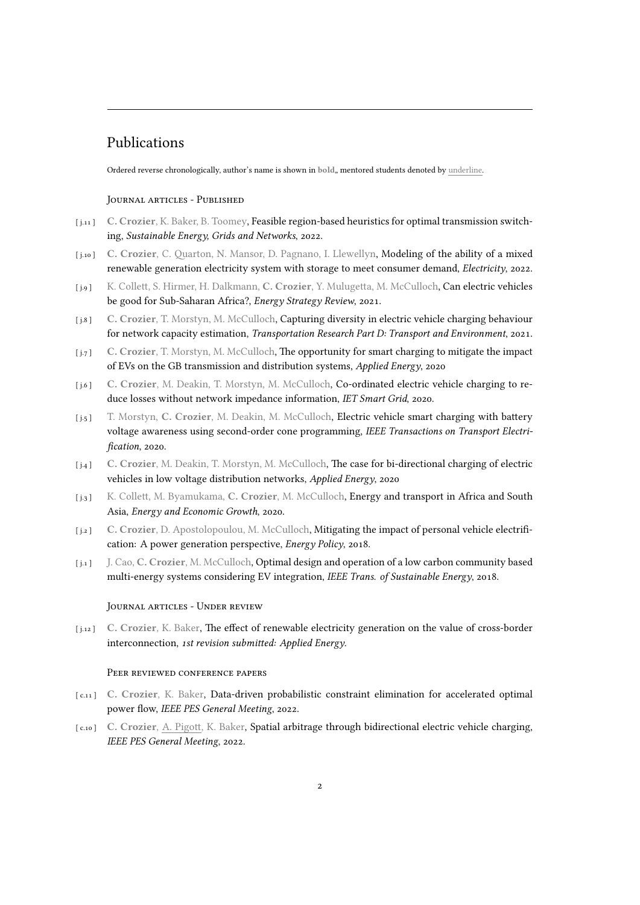## Publications

Ordered reverse chronologically, author's name is shown in bold,, mentored students denoted by underline.

#### JouRnal aRticles - Published

- [ j.11 ] **C. Crozier**, K. Baker, B. Toomey, Feasible region-based heuristics for optimal transmission switching, *Sustainable Energy, Grids and Networks*, 2022.
- [ j.10 ] **C. Crozier**, C. Quarton, N. Mansor, D. Pagnano, I. Llewellyn, Modeling of the ability of a mixed renewable generation electricity system with storage to meet consumer demand, *Electricity*, 2022.
- [ j.9 ] K. Collett, S. Hirmer, H. Dalkmann, **C. Crozier**, Y. Mulugetta, M. McCulloch, Can electric vehicles be good for Sub-Saharan Africa?, *Energy Strategy Review*, 2021.
- [ j.8 ] **C. Crozier**, T. Morstyn, M. McCulloch, Capturing diversity in electric vehicle charging behaviour for network capacity estimation, *Transportation Research Part D: Transport and Environment*, 2021.
- [ j.7 ] **C. Crozier**, T. Morstyn, M. McCulloch, The opportunity for smart charging to mitigate the impact of EVs on the GB transmission and distribution systems, *Applied Energy*, 2020
- [ j.6 ] **C. Crozier**, M. Deakin, T. Morstyn, M. McCulloch, Co-ordinated electric vehicle charging to reduce losses without network impedance information, *IET Smart Grid*, 2020.
- [ j.5 ] T. Morstyn, **C. Crozier**, M. Deakin, M. McCulloch, Electric vehicle smart charging with battery voltage awareness using second-order cone programming, *IEEE Transactions on Transport Electrification*, 2020.
- [ j.4 ] **C. Crozier**, M. Deakin, T. Morstyn, M. McCulloch, The case for bi-directional charging of electric vehicles in low voltage distribution networks, *Applied Energy*, 2020
- [ j.3 ] K. Collett, M. Byamukama, **C. Crozier**, M. McCulloch, Energy and transport in Africa and South Asia, *Energy and Economic Growth*, 2020.
- [ j.2 ] **C. Crozier**, D. Apostolopoulou, M. McCulloch, Mitigating the impact of personal vehicle electrification: A power generation perspective, *Energy Policy*, 2018.
- [ j.1 ] J. Cao, **C. Crozier**, M. McCulloch, Optimal design and operation of a low carbon community based multi-energy systems considering EV integration, *IEEE Trans. of Sustainable Energy*, 2018.

#### JouRnal aRticles - UndeR Review

[ j.12 ] **C. Crozier**, K. Baker, The effect of renewable electricity generation on the value of cross-border interconnection, *1st revision submitted: Applied Energy*.

#### PEER REVIEWED CONFERENCE PAPERS

- [ c.11 ] **C. Crozier**, K. Baker, Data-driven probabilistic constraint elimination for accelerated optimal power flow, *IEEE PES General Meeting*, 2022.
- [ c.10 ] **C. Crozier**, A. Pigott, K. Baker, Spatial arbitrage through bidirectional electric vehicle charging, *IEEE PES General Meeting*, 2022.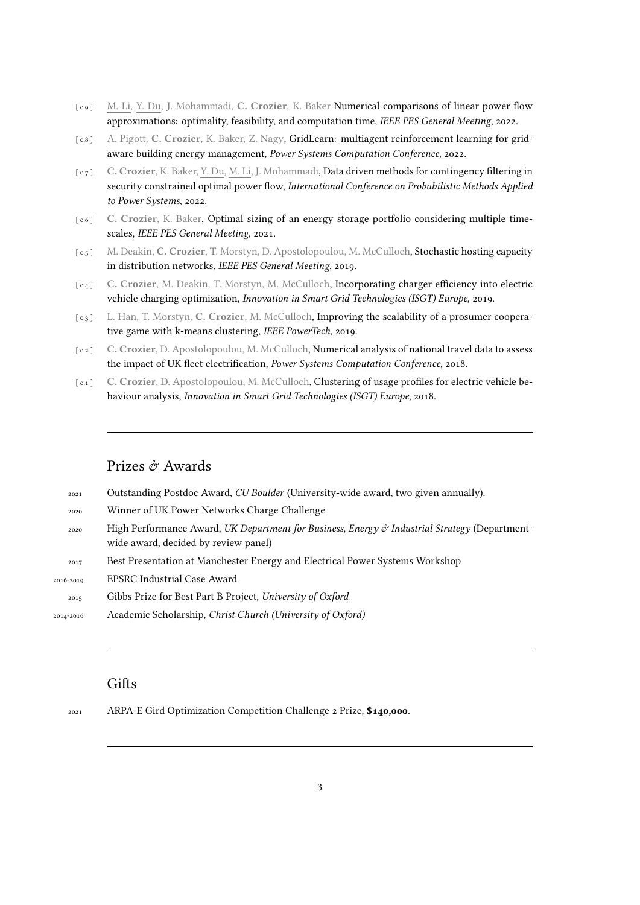- [ c.9 ] M. Li, Y. Du, J. Mohammadi, **C. Crozier**, K. Baker Numerical comparisons of linear power flow approximations: optimality, feasibility, and computation time, *IEEE PES General Meeting*, 2022.
- [ c.8 ] A. Pigott, **C. Crozier**, K. Baker, Z. Nagy, GridLearn: multiagent reinforcement learning for gridaware building energy management, *Power Systems Computation Conference*, 2022.
- [ c.7 ] **C. Crozier**, K. Baker, Y. Du, M. Li, J. Mohammadi, Data driven methods for contingency filtering in security constrained optimal power flow, *International Conference on Probabilistic Methods Applied to Power Systems*, 2022.
- [ c.6 ] **C. Crozier**, K. Baker, Optimal sizing of an energy storage portfolio considering multiple timescales, *IEEE PES General Meeting*, 2021.
- [ c.5 ] M. Deakin, **C. Crozier**, T. Morstyn, D. Apostolopoulou, M. McCulloch, Stochastic hosting capacity in distribution networks, *IEEE PES General Meeting*, 2019.
- [ c.4 ] **C. Crozier**, M. Deakin, T. Morstyn, M. McCulloch, Incorporating charger efficiency into electric vehicle charging optimization, *Innovation in Smart Grid Technologies (ISGT) Europe*, 2019.
- [ c.3 ] L. Han, T. Morstyn, **C. Crozier**, M. McCulloch, Improving the scalability of a prosumer cooperative game with k-means clustering, *IEEE PowerTech*, 2019.
- [ c.2 ] **C. Crozier**, D. Apostolopoulou, M. McCulloch, Numerical analysis of national travel data to assess the impact of UK fleet electrification, *Power Systems Computation Conference*, 2018.
- [ c.1 ] **C. Crozier**, D. Apostolopoulou, M. McCulloch, Clustering of usage profiles for electric vehicle behaviour analysis, *Innovation in Smart Grid Technologies (ISGT) Europe*, 2018.

## Prizes & Awards

| 2021      | Outstanding Postdoc Award, CU Boulder (University-wide award, two given annually).                                                    |
|-----------|---------------------------------------------------------------------------------------------------------------------------------------|
| 2020      | Winner of UK Power Networks Charge Challenge                                                                                          |
| 2020      | High Performance Award, UK Department for Business, Energy & Industrial Strategy (Department-<br>wide award, decided by review panel) |
| 2017      | Best Presentation at Manchester Energy and Electrical Power Systems Workshop                                                          |
| 2016-2019 | <b>EPSRC</b> Industrial Case Award                                                                                                    |
| 2015      | Gibbs Prize for Best Part B Project, University of Oxford                                                                             |
| 2014-2016 | Academic Scholarship, Christ Church (University of Oxford)                                                                            |
|           |                                                                                                                                       |

# **Gifts**

<sup>2021</sup> ARPA-E Gird Optimization Competition Challenge 2 Prize, **\$140,000**.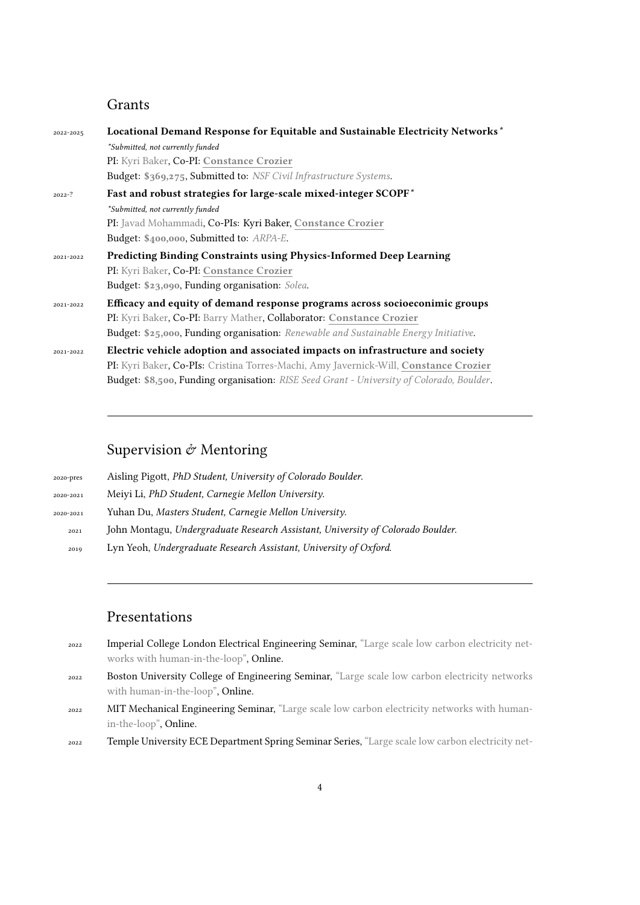## Grants

| 2022-2025  | Locational Demand Response for Equitable and Sustainable Electricity Networks*                   |
|------------|--------------------------------------------------------------------------------------------------|
|            | *Submitted, not currently funded                                                                 |
|            | PI: Kyri Baker, Co-PI: Constance Crozier                                                         |
|            | Budget: \$369,275, Submitted to: NSF Civil Infrastructure Systems.                               |
| $2022 - ?$ | Fast and robust strategies for large-scale mixed-integer SCOPF*                                  |
|            | *Submitted, not currently funded                                                                 |
|            | PI: Javad Mohammadi, Co-PIs: Kyri Baker, Constance Crozier                                       |
|            | Budget: \$400,000, Submitted to: ARPA-E.                                                         |
| 2021-2022  | <b>Predicting Binding Constraints using Physics-Informed Deep Learning</b>                       |
|            | PI: Kyri Baker, Co-PI: Constance Crozier                                                         |
|            | Budget: \$23,090, Funding organisation: Solea.                                                   |
| 2021-2022  | Efficacy and equity of demand response programs across socioeconimic groups                      |
|            | PI: Kyri Baker, Co-PI: Barry Mather, Collaborator: Constance Crozier                             |
|            | Budget: \$25,000, Funding organisation: Renewable and Sustainable Energy Initiative.             |
| 2021-2022  | Electric vehicle adoption and associated impacts on infrastructure and society                   |
|            | PI: Kyri Baker, Co-PIs: Cristina Torres-Machi, Amy Javernick-Will, Constance Crozier             |
|            | <b>Budget: \$8,500, Funding organisation:</b> RISE Seed Grant - University of Colorado, Boulder. |

## Supervision  $\mathcal O$  Mentoring

| 2020-pres | Aisling Pigott, PhD Student, University of Colorado Boulder.                    |
|-----------|---------------------------------------------------------------------------------|
| 2020-2021 | Meiyi Li, PhD Student, Carnegie Mellon University.                              |
| 2020-2021 | Yuhan Du, Masters Student, Carnegie Mellon University.                          |
| 2021      | John Montagu, Undergraduate Research Assistant, University of Colorado Boulder. |
| 2019      | Lyn Yeoh, Undergraduate Research Assistant, University of Oxford.               |

### Presentations

- <sup>2022</sup> Imperial College London Electrical Engineering Seminar, "Large scale low carbon electricity networks with human-in-the-loop", Online.
- <sup>2022</sup> Boston University College of Engineering Seminar, "Large scale low carbon electricity networks with human-in-the-loop", Online.
- 2022 MIT Mechanical Engineering Seminar, "Large scale low carbon electricity networks with humanin-the-loop", Online.

<sup>2022</sup> Temple University ECE Department Spring Seminar Series, "Large scale low carbon electricity net-